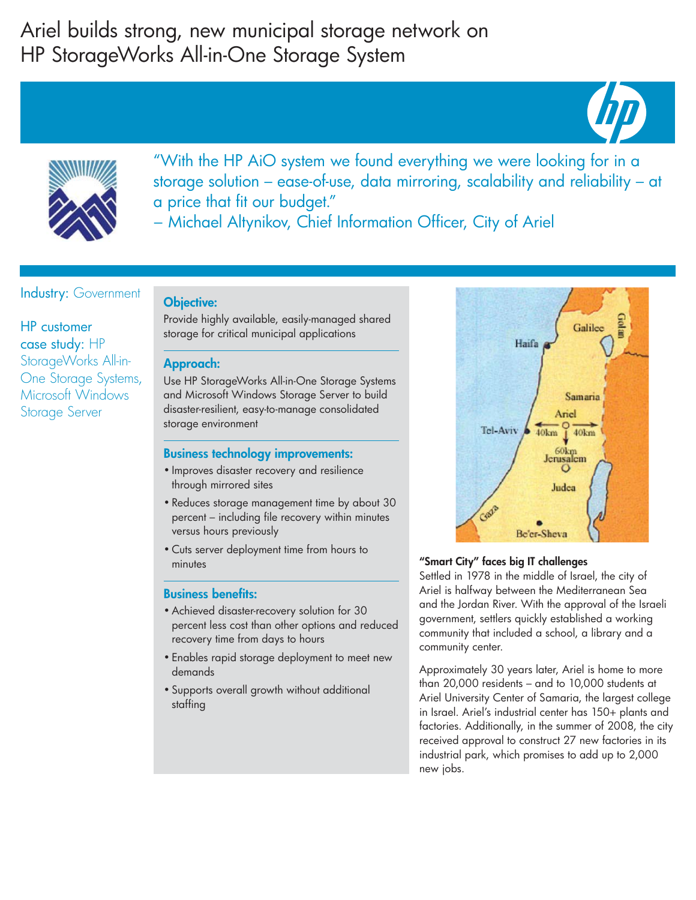# Ariel builds strong, new municipal storage network on HP StorageWorks All-in-One Storage System





"With the HP AiO system we found everything we were looking for in a storage solution – ease-of-use, data mirroring, scalability and reliability – at a price that fit our budget."

− Michael Altynikov, Chief Information Officer, City of Ariel

## Industry: Government

HP customer case study: HP StorageWorks All-in-One Storage Systems, Microsoft Windows Storage Server

## Objective:

Provide highly available, easily-managed shared storage for critical municipal applications

#### Approach:

Use HP StorageWorks All-in-One Storage Systems and Microsoft Windows Storage Server to build disaster-resilient, easy-to-manage consolidated storage environment

### Business technology improvements:

- Improves disaster recovery and resilience through mirrored sites
- Reduces storage management time by about 30 percent – including file recovery within minutes versus hours previously
- Cuts server deployment time from hours to minutes

### Business benefits:

- Achieved disaster-recovery solution for 30 percent less cost than other options and reduced recovery time from days to hours
- Enables rapid storage deployment to meet new demands
- Supports overall growth without additional staffing



#### "Smart City" faces big IT challenges

Settled in 1978 in the middle of Israel, the city of Ariel is halfway between the Mediterranean Sea and the Jordan River. With the approval of the Israeli government, settlers quickly established a working community that included a school, a library and a community center.

Approximately 30 years later, Ariel is home to more than 20,000 residents – and to 10,000 students at Ariel University Center of Samaria, the largest college in Israel. Ariel's industrial center has 150+ plants and factories. Additionally, in the summer of 2008, the city received approval to construct 27 new factories in its industrial park, which promises to add up to 2,000 new jobs.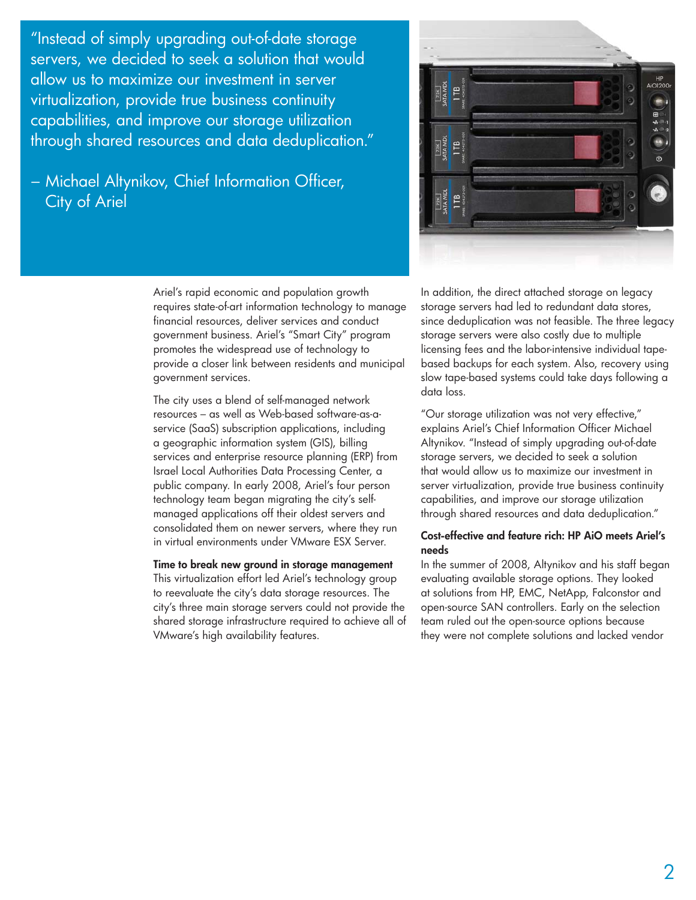"Instead of simply upgrading out-of-date storage servers, we decided to seek a solution that would allow us to maximize our investment in server virtualization, provide true business continuity capabilities, and improve our storage utilization through shared resources and data deduplication."

## − Michael Altynikov, Chief Information Officer, City of Ariel

Ariel's rapid economic and population growth requires state-of-art information technology to manage financial resources, deliver services and conduct government business. Ariel's "Smart City" program promotes the widespread use of technology to provide a closer link between residents and municipal government services.

The city uses a blend of self-managed network resources – as well as Web-based software-as-aservice (SaaS) subscription applications, including a geographic information system (GIS), billing services and enterprise resource planning (ERP) from Israel Local Authorities Data Processing Center, a public company. In early 2008, Ariel's four person technology team began migrating the city's selfmanaged applications off their oldest servers and consolidated them on newer servers, where they run in virtual environments under VMware ESX Server.

Time to break new ground in storage management This virtualization effort led Ariel's technology group to reevaluate the city's data storage resources. The city's three main storage servers could not provide the shared storage infrastructure required to achieve all of VMware's high availability features.



In addition, the direct attached storage on legacy storage servers had led to redundant data stores, since deduplication was not feasible. The three legacy storage servers were also costly due to multiple licensing fees and the labor-intensive individual tapebased backups for each system. Also, recovery using slow tape-based systems could take days following a data loss.

"Our storage utilization was not very effective," explains Ariel's Chief Information Officer Michael Altynikov. "Instead of simply upgrading out-of-date storage servers, we decided to seek a solution that would allow us to maximize our investment in server virtualization, provide true business continuity capabilities, and improve our storage utilization through shared resources and data deduplication."

#### Cost-effective and feature rich: HP AiO meets Ariel's needs

In the summer of 2008, Altynikov and his staff began evaluating available storage options. They looked at solutions from HP, EMC, NetApp, Falconstor and open-source SAN controllers. Early on the selection team ruled out the open-source options because they were not complete solutions and lacked vendor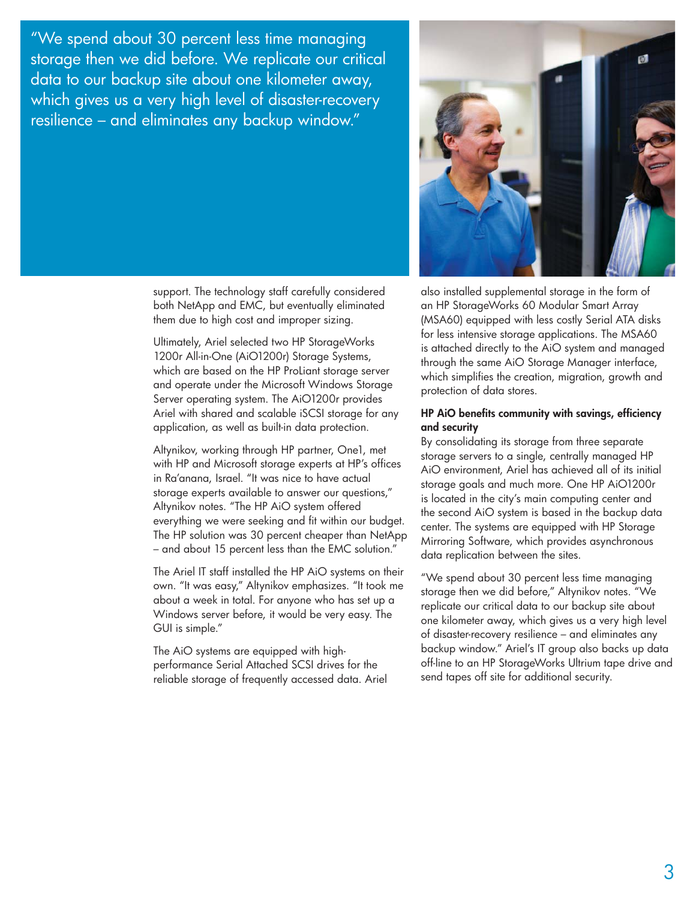"We spend about 30 percent less time managing storage then we did before. We replicate our critical data to our backup site about one kilometer away, which gives us a very high level of disaster-recovery resilience – and eliminates any backup window."

> support. The technology staff carefully considered both NetApp and EMC, but eventually eliminated them due to high cost and improper sizing.

Ultimately, Ariel selected two HP StorageWorks 1200r All-in-One (AiO1200r) Storage Systems, which are based on the HP ProLiant storage server and operate under the Microsoft Windows Storage Server operating system. The AiO1200r provides Ariel with shared and scalable iSCSI storage for any application, as well as built-in data protection.

Altynikov, working through HP partner, One1, met with HP and Microsoft storage experts at HP's offices in Ra'anana, Israel. "It was nice to have actual storage experts available to answer our questions," Altynikov notes. "The HP AiO system offered everything we were seeking and fit within our budget. The HP solution was 30 percent cheaper than NetApp – and about 15 percent less than the EMC solution."

The Ariel IT staff installed the HP AiO systems on their own. "It was easy," Altynikov emphasizes. "It took me about a week in total. For anyone who has set up a Windows server before, it would be very easy. The GUI is simple."

The AiO systems are equipped with highperformance Serial Attached SCSI drives for the reliable storage of frequently accessed data. Ariel



also installed supplemental storage in the form of an HP StorageWorks 60 Modular Smart Array (MSA60) equipped with less costly Serial ATA disks for less intensive storage applications. The MSA60 is attached directly to the AiO system and managed through the same AiO Storage Manager interface, which simplifies the creation, migration, growth and protection of data stores.

#### HP AiO benefits community with savings, efficiency and security

By consolidating its storage from three separate storage servers to a single, centrally managed HP AiO environment, Ariel has achieved all of its initial storage goals and much more. One HP AiO1200r is located in the city's main computing center and the second AiO system is based in the backup data center. The systems are equipped with HP Storage Mirroring Software, which provides asynchronous data replication between the sites.

"We spend about 30 percent less time managing storage then we did before," Altynikov notes. "We replicate our critical data to our backup site about one kilometer away, which gives us a very high level of disaster-recovery resilience – and eliminates any backup window." Ariel's IT group also backs up data off-line to an HP StorageWorks Ultrium tape drive and send tapes off site for additional security.